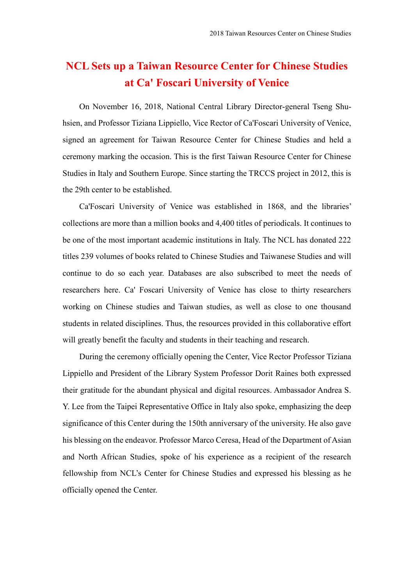## **NCL Sets up a Taiwan Resource Center for Chinese Studies at Ca' Foscari University of Venice**

On November 16, 2018, National Central Library Director-general Tseng Shuhsien, and Professor Tiziana Lippiello, Vice Rector of Ca'Foscari University of Venice, signed an agreement for Taiwan Resource Center for Chinese Studies and held a ceremony marking the occasion. This is the first Taiwan Resource Center for Chinese Studies in Italy and Southern Europe. Since starting the TRCCS project in 2012, this is the 29th center to be established.

Ca'Foscari University of Venice was established in 1868, and the libraries' collections are more than a million books and 4,400 titles of periodicals. It continues to be one of the most important academic institutions in Italy. The NCL has donated 222 titles 239 volumes of books related to Chinese Studies and Taiwanese Studies and will continue to do so each year. Databases are also subscribed to meet the needs of researchers here. Ca' Foscari University of Venice has close to thirty researchers working on Chinese studies and Taiwan studies, as well as close to one thousand students in related disciplines. Thus, the resources provided in this collaborative effort will greatly benefit the faculty and students in their teaching and research.

During the ceremony officially opening the Center, Vice Rector Professor Tiziana Lippiello and President of the Library System Professor Dorit Raines both expressed their gratitude for the abundant physical and digital resources. Ambassador Andrea S. Y. Lee from the Taipei Representative Office in Italy also spoke, emphasizing the deep significance of this Center during the 150th anniversary of the university. He also gave his blessing on the endeavor. Professor Marco Ceresa, Head of the Department of Asian and North African Studies, spoke of his experience as a recipient of the research fellowship from NCL's Center for Chinese Studies and expressed his blessing as he officially opened the Center.